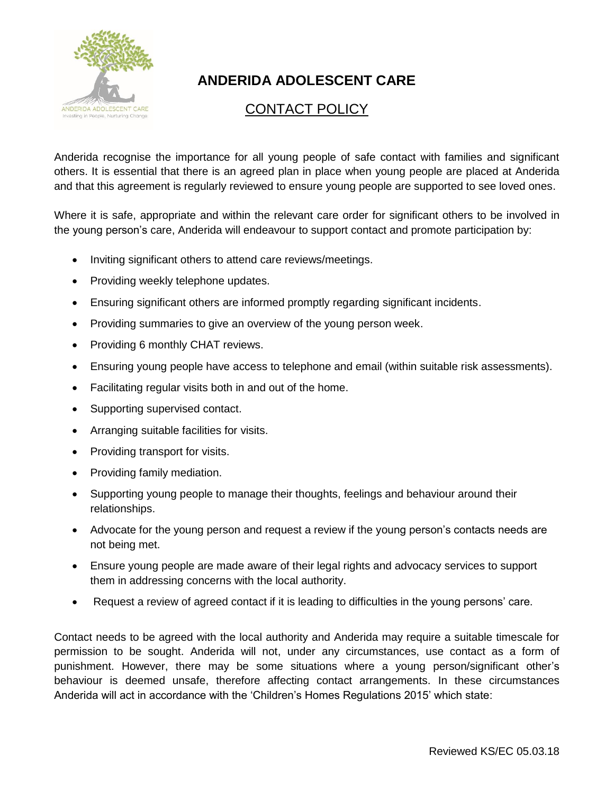

## **ANDERIDA ADOLESCENT CARE**

## CONTACT POLICY

Anderida recognise the importance for all young people of safe contact with families and significant others. It is essential that there is an agreed plan in place when young people are placed at Anderida and that this agreement is regularly reviewed to ensure young people are supported to see loved ones.

Where it is safe, appropriate and within the relevant care order for significant others to be involved in the young person's care, Anderida will endeavour to support contact and promote participation by:

- Inviting significant others to attend care reviews/meetings.
- Providing weekly telephone updates.
- Ensuring significant others are informed promptly regarding significant incidents.
- Providing summaries to give an overview of the young person week.
- Providing 6 monthly CHAT reviews.
- Ensuring young people have access to telephone and email (within suitable risk assessments).
- Facilitating regular visits both in and out of the home.
- Supporting supervised contact.
- Arranging suitable facilities for visits.
- Providing transport for visits.
- Providing family mediation.
- Supporting young people to manage their thoughts, feelings and behaviour around their relationships.
- Advocate for the young person and request a review if the young person's contacts needs are not being met.
- Ensure young people are made aware of their legal rights and advocacy services to support them in addressing concerns with the local authority.
- Request a review of agreed contact if it is leading to difficulties in the young persons' care.

Contact needs to be agreed with the local authority and Anderida may require a suitable timescale for permission to be sought. Anderida will not, under any circumstances, use contact as a form of punishment. However, there may be some situations where a young person/significant other's behaviour is deemed unsafe, therefore affecting contact arrangements. In these circumstances Anderida will act in accordance with the 'Children's Homes Regulations 2015' which state: